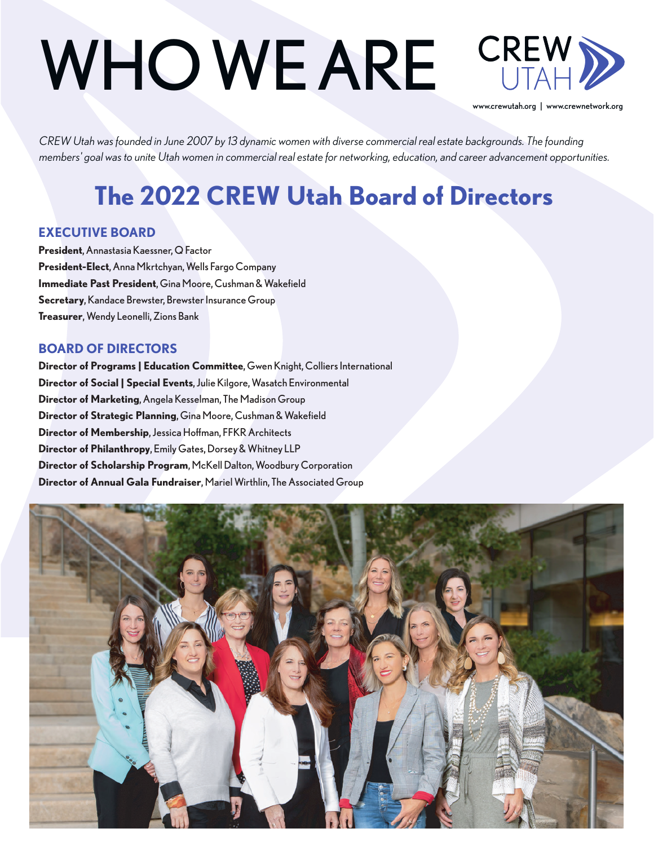# WHO WE ARE



www.crewutah.org | www.crewnetwork.org

*CREW Utah was founded in June 2007 by 13 dynamic women with diverse commercial real estate backgrounds. The founding members' goal was to unite Utah women in commercial real estate for networking, education, and career advancement opportunities.* 

## **The 2022 CREW Utah Board of Directors**

#### **EXECUTIVE BOARD**

**President**, Annastasia Kaessner, Q Factor **President-Elect**, Anna Mkrtchyan, Wells Fargo Company **Immediate Past President**, Gina Moore, Cushman & Wakefield **Secretary**, Kandace Brewster, Brewster Insurance Group **Treasurer**, Wendy Leonelli, Zions Bank

#### **BOARD OF DIRECTORS**

**Director of Programs | Education Committee**, Gwen Knight, Colliers International **Director of Social | Special Events**, Julie Kilgore, Wasatch Environmental **Director of Marketing**, Angela Kesselman, The Madison Group **Director of Strategic Planning**, Gina Moore, Cushman & Wakefield **Director of Membership**, Jessica Hoffman, FFKR Architects **Director of Philanthropy**, Emily Gates, Dorsey & Whitney LLP **Director of Scholarship Program**, McKell Dalton, Woodbury Corporation **Director of Annual Gala Fundraiser**, Mariel Wirthlin, The Associated Group

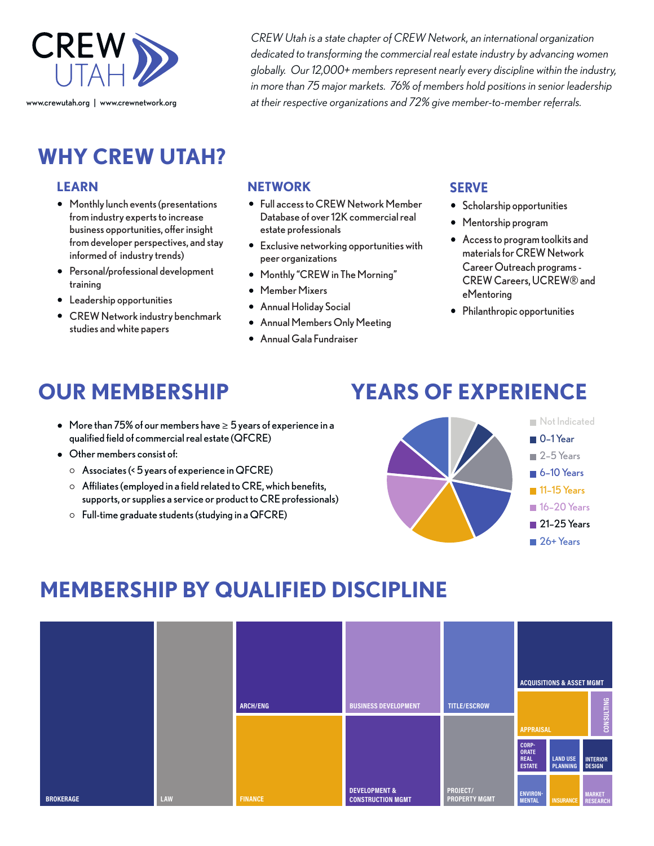

**WHY CREW UTAH?**

#### **LEARN**

- Monthly lunch events (presentations from industry experts to increase business opportunities, offer insight from developer perspectives, and stay informed of industry trends)
- Personal/professional development training
- Leadership opportunities
- CREW Network industry benchmark studies and white papers

*CREW Utah is a state chapter of CREW Network, an international organization dedicated to transforming the commercial real estate industry by advancing women globally. Our 12,000+ members represent nearly every discipline within the industry, in more than 75 major markets. 76% of members hold positions in senior leadership at their respective organizations and 72% give member-to-member referrals.*

#### **NETWORK**

- Full access to CREW Network Member Database of over 12K commercial real estate professionals
- Exclusive networking opportunities with peer organizations
- Monthly "CREW in The Morning"
- Member Mixers
- Annual Holiday Social
- Annual Members Only Meeting
- Annual Gala Fundraiser

#### **SERVE**

- **•** Scholarship opportunities
- Mentorship program
- Access to program toolkits and materials for CREW Network Career Outreach programs - CREW Careers, UCREW® and eMentoring
- Philanthropic opportunities

## **OUR MEMBERSHIP**

## **YEARS OF EXPERIENCE**

- More than 75% of our members have ≥ 5 years of experience in a qualified field of commercial real estate (QFCRE)
- Other members consist of:
	- $\circ$  Associates (< 5 years of experience in QFCRE)
	- $\circ$  Affiliates (employed in a field related to CRE, which benefits, supports, or supplies a service or product to CRE professionals)
	- $\circ$  Full-time graduate students (studying in a QFCRE)



## **MEMBERSHIP BY QUALIFIED DISCIPLINE**

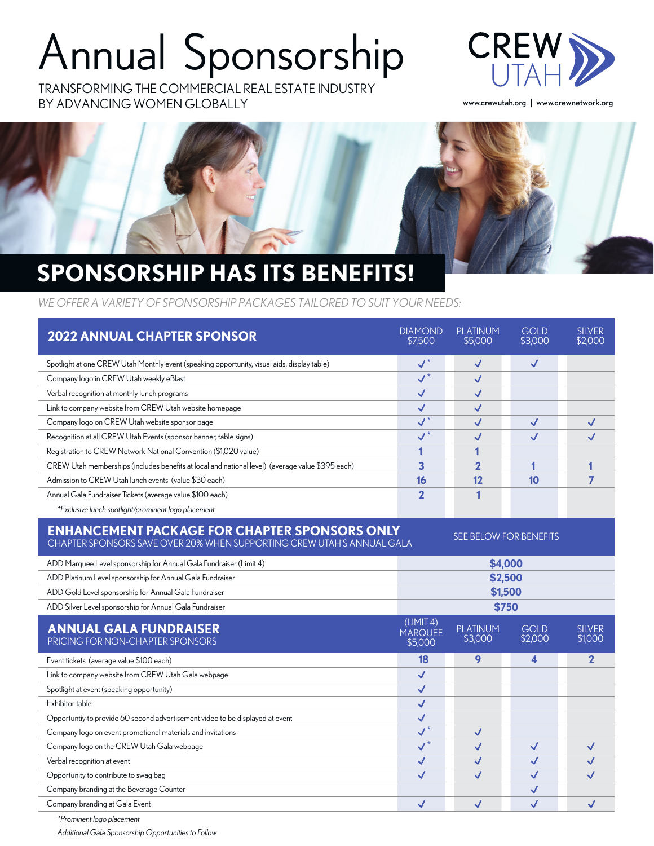## Annual Sponsorship

TRANSFORMING THE COMMERCIAL REAL ESTATE INDUSTRY BY ADVANCING WOMEN GLOBALLY



www.crewutah.org | www.crewnetwork.org



## **SPONSORSHIP HAS ITS BENEFITS!**

*WE OFFER A VARIETY OF SPONSORSHIP PACKAGES TAILORED TO SUIT YOUR NEEDS:*

| <b>2022 ANNUAL CHAPTER SPONSOR</b>                                                                                                                       | <b>DIAMOND</b><br>\$7,500                  | <b>PLATINUM</b><br>\$5,000 | <b>GOLD</b><br>\$3,000 | <b>SILVER</b><br>\$2.000 |  |
|----------------------------------------------------------------------------------------------------------------------------------------------------------|--------------------------------------------|----------------------------|------------------------|--------------------------|--|
| Spotlight at one CREW Utah Monthly event (speaking opportunity, visual aids, display table)                                                              | $\checkmark$                               | $\checkmark$               | $\checkmark$           |                          |  |
| Company logo in CREW Utah weekly eBlast                                                                                                                  | $\overline{\mathcal{N}}^*$                 | $\checkmark$               |                        |                          |  |
| Verbal recognition at monthly lunch programs                                                                                                             |                                            | $\checkmark$               |                        |                          |  |
| Link to company website from CREW Utah website homepage                                                                                                  | $\checkmark$<br>$\overline{\mathcal{N}}^*$ | $\checkmark$               |                        |                          |  |
| Company logo on CREW Utah website sponsor page                                                                                                           |                                            | $\checkmark$               | $\checkmark$           | $\checkmark$             |  |
| Recognition at all CREW Utah Events (sponsor banner, table signs)                                                                                        | $\checkmark^*$                             | $\checkmark$               | $\checkmark$           | $\checkmark$             |  |
| Registration to CREW Network National Convention (\$1,020 value)                                                                                         | 1                                          | 1                          |                        |                          |  |
| CREW Utah memberships (includes benefits at local and national level) (average value \$395 each)                                                         | 3                                          | $\overline{2}$             | 1                      | 1                        |  |
| Admission to CREW Utah lunch events (value \$30 each)                                                                                                    | 16                                         | 12                         | 10                     | 7                        |  |
| Annual Gala Fundraiser Tickets (average value \$100 each)                                                                                                | $\mathbf 2$                                | 1                          |                        |                          |  |
| *Exclusive lunch spotlight/prominent logo placement                                                                                                      |                                            |                            |                        |                          |  |
| <b>ENHANCEMENT PACKAGE FOR CHAPTER SPONSORS ONLY</b><br>SEE BELOW FOR BENEFITS<br>CHAPTER SPONSORS SAVE OVER 20% WHEN SUPPORTING CREW UTAH'S ANNUAL GALA |                                            |                            |                        |                          |  |
| ADD Marquee Level sponsorship for Annual Gala Fundraiser (Limit 4)                                                                                       | \$4,000                                    |                            |                        |                          |  |
| ADD Platinum Level sponsorship for Annual Gala Fundraiser                                                                                                | \$2,500                                    |                            |                        |                          |  |
| ADD Gold Level sponsorship for Annual Gala Fundraiser                                                                                                    | \$1,500                                    |                            |                        |                          |  |
| ADD Silver Level sponsorship for Annual Gala Fundraiser                                                                                                  | \$750                                      |                            |                        |                          |  |
| <b>ANNUAL GALA FUNDRAISER</b><br>PRICING FOR NON-CHAPTER SPONSORS                                                                                        | (LIMIT 4)<br><b>MARQUEE</b><br>\$5,000     | <b>PLATINUM</b><br>\$3,000 | <b>GOID</b><br>\$2,000 | <b>SILVER</b><br>\$1.000 |  |
| Event tickets (average value \$100 each)                                                                                                                 | 18                                         | 9                          | 4                      | $\mathbf{2}$             |  |
| Link to company website from CREW Utah Gala webpage                                                                                                      | $\checkmark$                               |                            |                        |                          |  |
| Spotlight at event (speaking opportunity)                                                                                                                | $\checkmark$                               |                            |                        |                          |  |
| Exhibitor table                                                                                                                                          | $\checkmark$                               |                            |                        |                          |  |
| Opportuntiy to provide 60 second advertisement video to be displayed at event                                                                            | $\checkmark$                               |                            |                        |                          |  |
| Company logo on event promotional materials and invitations                                                                                              | $\overline{\mathsf{v}^*}$                  | $\checkmark$               |                        |                          |  |
| Company logo on the CREW Utah Gala webpage                                                                                                               | $\overline{\mathsf{v}^*}$                  | $\checkmark$               | $\checkmark$           | $\checkmark$             |  |
| Verbal recognition at event                                                                                                                              | $\checkmark$                               | $\checkmark$               | $\checkmark$           | $\checkmark$             |  |
| Opportunity to contribute to swag bag                                                                                                                    | $\checkmark$                               | $\checkmark$               | $\checkmark$           | $\checkmark$             |  |
| Company branding at the Beverage Counter                                                                                                                 |                                            |                            | $\checkmark$           |                          |  |
| Company branding at Gala Event                                                                                                                           | $\checkmark$                               | $\checkmark$               | $\checkmark$           | $\checkmark$             |  |

*\*Prominent logo placement Additional Gala Sponsorship Opportunities to Follow*